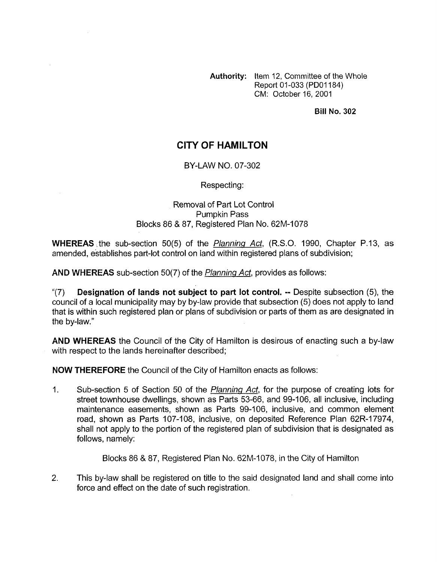**Authority:** Item 12, Committee of the Whole Report 01-033 (PDOI 184) CM: October 16, 2001

## **Bill No. 302**

## **CITY OF HAMILTON**

## BY-LAW NO. 07-302

Respecting:

## Removal of Part Lot Control Pumpkin Pass Blocks 86 & 87, Registered Plan No. 62M-1078

**WHEREAS** .the sub-section 50(5) of the *Planning Act,* (R.S.O. 1990, Chapter P.13, as amended, establishes part-lot control on land within registered plans of subdivision;

**AND WHEREAS** sub-section 50(7) of the *Planning Act,* provides as follows:

"(7) **Designation of lands not subject to part lot control.** -- Despite subsection (5), the council of a local municipality may by by-law provide that subsection (5) does not apply to land that is within such registered plan or plans of subdivision or parts of them as are designated in the by-law."

**AND WHEREAS** the Council of the City of Hamilton is desirous of enacting such a by-law with respect to the lands hereinafter described;

**NOW THEREFORE** the Council of the City of Hamilton enacts as follows:

1. Sub-section 5 of Section 50 of the *Planninq Act,* for the purpose of creating lots for street townhouse dwellings, shown as Parts 53-66, and 99-106, all inclusive, including maintenance easements, shown as Parts 99-106, inclusive, and common element road, shown as Parts 107-108, inclusive, on deposited Reference Plan 62R-17974, shall not apply to the portion of the registered plan of subdivision that is designated as follows, namely:

Blocks 86 & 87, Registered Plan No. 62M-1078, in the City of Hamilton

2. This by-law shall be registered on title to the said designated land and shall come into force and effect on the date of such registration.